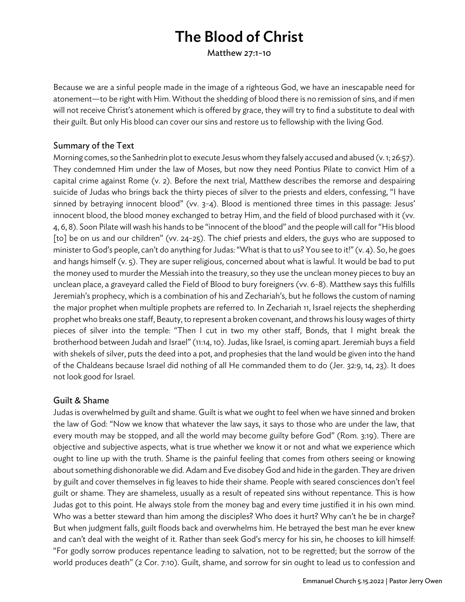# The Blood of Christ

Matthew 27:1-10

Because we are a sinful people made in the image of a righteous God, we have an inescapable need for atonement—to be right with Him. Without the shedding of blood there is no remission of sins, and if men will not receive Christ's atonement which is offered by grace, they will try to find a substitute to deal with their guilt. But only His blood can cover our sins and restore us to fellowship with the living God.

#### Summary of the Text

Morning comes, so the Sanhedrin plot to execute Jesus whom they falsely accused and abused (v. 1; 26:57). They condemned Him under the law of Moses, but now they need Pontius Pilate to convict Him of a capital crime against Rome (v. 2). Before the next trial, Matthew describes the remorse and despairing suicide of Judas who brings back the thirty pieces of silver to the priests and elders, confessing, "I have sinned by betraying innocent blood" (vv. 3-4). Blood is mentioned three times in this passage: Jesus' innocent blood, the blood money exchanged to betray Him, and the field of blood purchased with it (vv. 4, 6, 8). Soon Pilate will wash his hands to be "innocent of the blood" and the people will call for "His blood [to] be on us and our children" (vv. 24-25). The chief priests and elders, the guys who are supposed to minister to God's people, can't do anything for Judas: "What is that to us? You see to it!" (v. 4). So, he goes and hangs himself (v. 5). They are super religious, concerned about what is lawful. It would be bad to put the money used to murder the Messiah into the treasury, so they use the unclean money pieces to buy an unclean place, a graveyard called the Field of Blood to bury foreigners (vv. 6-8). Matthew says this fulfills Jeremiah's prophecy, which is a combination of his and Zechariah's, but he follows the custom of naming the major prophet when multiple prophets are referred to. In Zechariah 11, Israel rejects the shepherding prophet who breaks one staff, Beauty, to represent a broken covenant, and throws his lousy wages of thirty pieces of silver into the temple: "Then I cut in two my other staff, Bonds, that I might break the brotherhood between Judah and Israel" (11:14, 10). Judas, like Israel, is coming apart. Jeremiah buys a field with shekels of silver, puts the deed into a pot, and prophesies that the land would be given into the hand of the Chaldeans because Israel did nothing of all He commanded them to do (Jer. 32:9, 14, 23). It does not look good for Israel.

### Guilt & Shame

Judas is overwhelmed by guilt and shame. Guilt is what we ought to feel when we have sinned and broken the law of God: "Now we know that whatever the law says, it says to those who are under the law, that every mouth may be stopped, and all the world may become guilty before God" (Rom. 3:19). There are objective and subjective aspects, what is true whether we know it or not and what we experience which ought to line up with the truth. Shame is the painful feeling that comes from others seeing or knowing about something dishonorable we did. Adam and Eve disobey God and hide in the garden. They are driven by guilt and cover themselves in fig leaves to hide their shame. People with seared consciences don't feel guilt or shame. They are shameless, usually as a result of repeated sins without repentance. This is how Judas got to this point. He always stole from the money bag and every time justified it in his own mind. Who was a better steward than him among the disciples? Who does it hurt? Why can't he be in charge? But when judgment falls, guilt floods back and overwhelms him. He betrayed the best man he ever knew and can't deal with the weight of it. Rather than seek God's mercy for his sin, he chooses to kill himself: "For godly sorrow produces repentance leading to salvation, not to be regretted; but the sorrow of the world produces death" (2 Cor. 7:10). Guilt, shame, and sorrow for sin ought to lead us to confession and